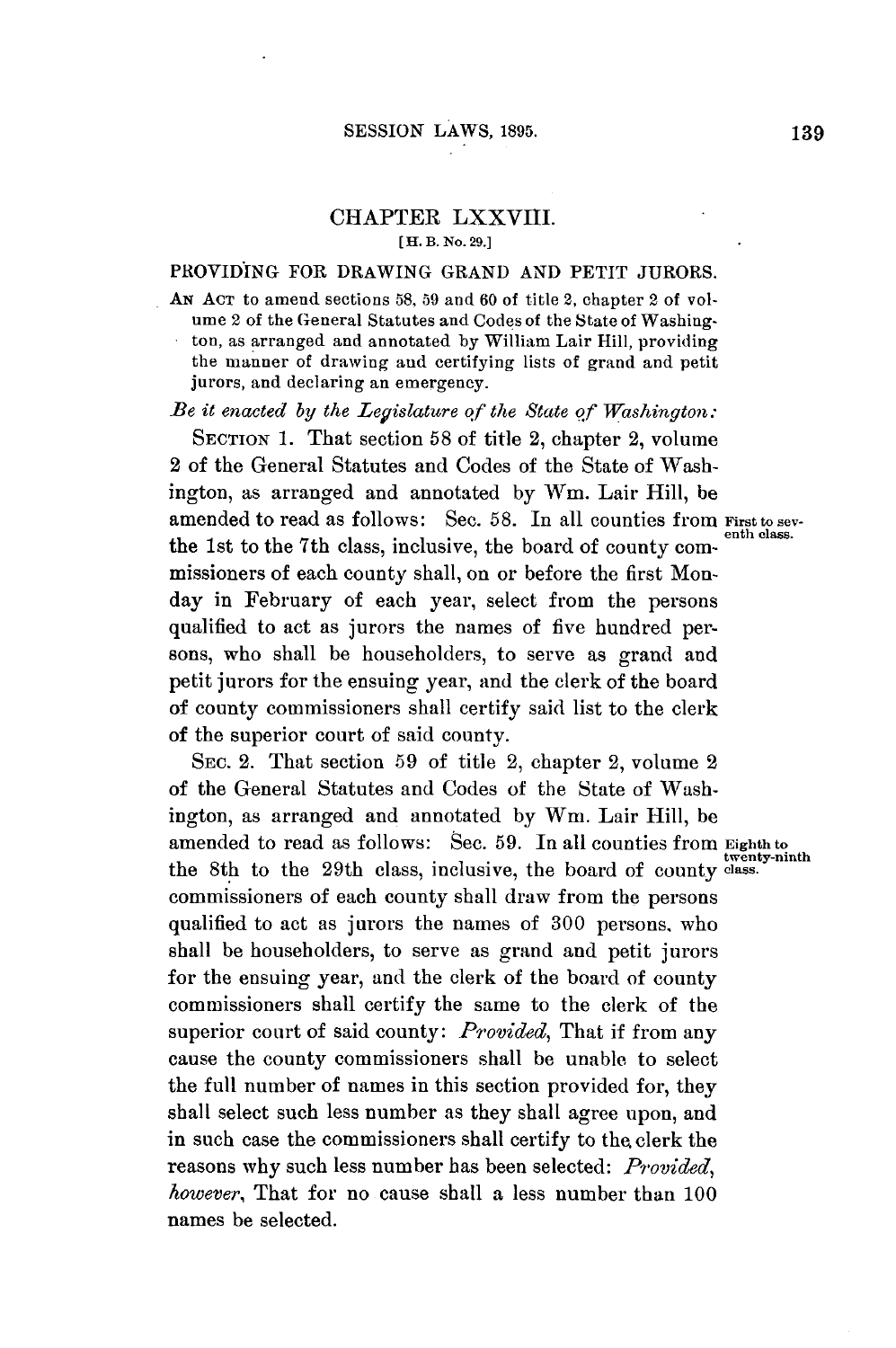## CHAPTER LXXVIII. **[H. B. No. 29.]**

## PROVIDING FOR DRAWING **GRAND AND** PETIT **JURORS.**

AN **ACT** to amend sections **58, 59** and **60** of title 2, chapter 2 of volume 2 of the General Statutes and Codes of the State of Washington, as arranged and annotated **by** William Lair Hill, providing the manner of drawing and certifying lists of grand and petit jurors, and declaring an emergency.

*Be it enacted by the Legislature of the State of Washington:*

**SECTION 1.** That section **58** of title 2, chapter 2, volume 2 of the General Statutes and Codes of the State of Washington, as arranged and annotated **by** Win. Lair Hill, be amended to read as follows: Sec. **58.** In all counties from **First to sev**the 1st to the 7th class, inclusive, the board of county commissioners of each county shall, on or before the first Monday in February of each year, select from the persons qualified to act as jurors the names of five hundred persons, who shall be householders, to serve as grand and petit jurors for the ensuing year, and the clerk of the board of county commissioners shall certify said list to the clerk of the superior court of said county.

SEC. 2. That section **59** of title 2, chapter 2, volume 2 of the General Statutes and Codes of the State of Washington, as arranged and annotated **by** Wm. Lair Hill, be amended to read as follows: Sec. **59.** In all counties from **Eighth to** the 8th to the 29th class, inclusive, the board of county **class.** commissioners of each county shall draw from the persons qualified to act as jurors the names of **300** persons, who shall be householders, to serve as grand and petit jurors for the ensuing year, and the clerk of the board of county commissioners shall certify the same to the clerk of the superior court of said county: *Provided,* That if from any cause the county commissioners shall **be** unable to select the full number of names in this section provided for, they shall select such less number as they shall agree upon, and in such case the commissioners shall certify to the clerk the reasons why such less number has been selected: *Provided, however,* That for no cause shall a less number than **100** names be selected.

**twenty-ninth**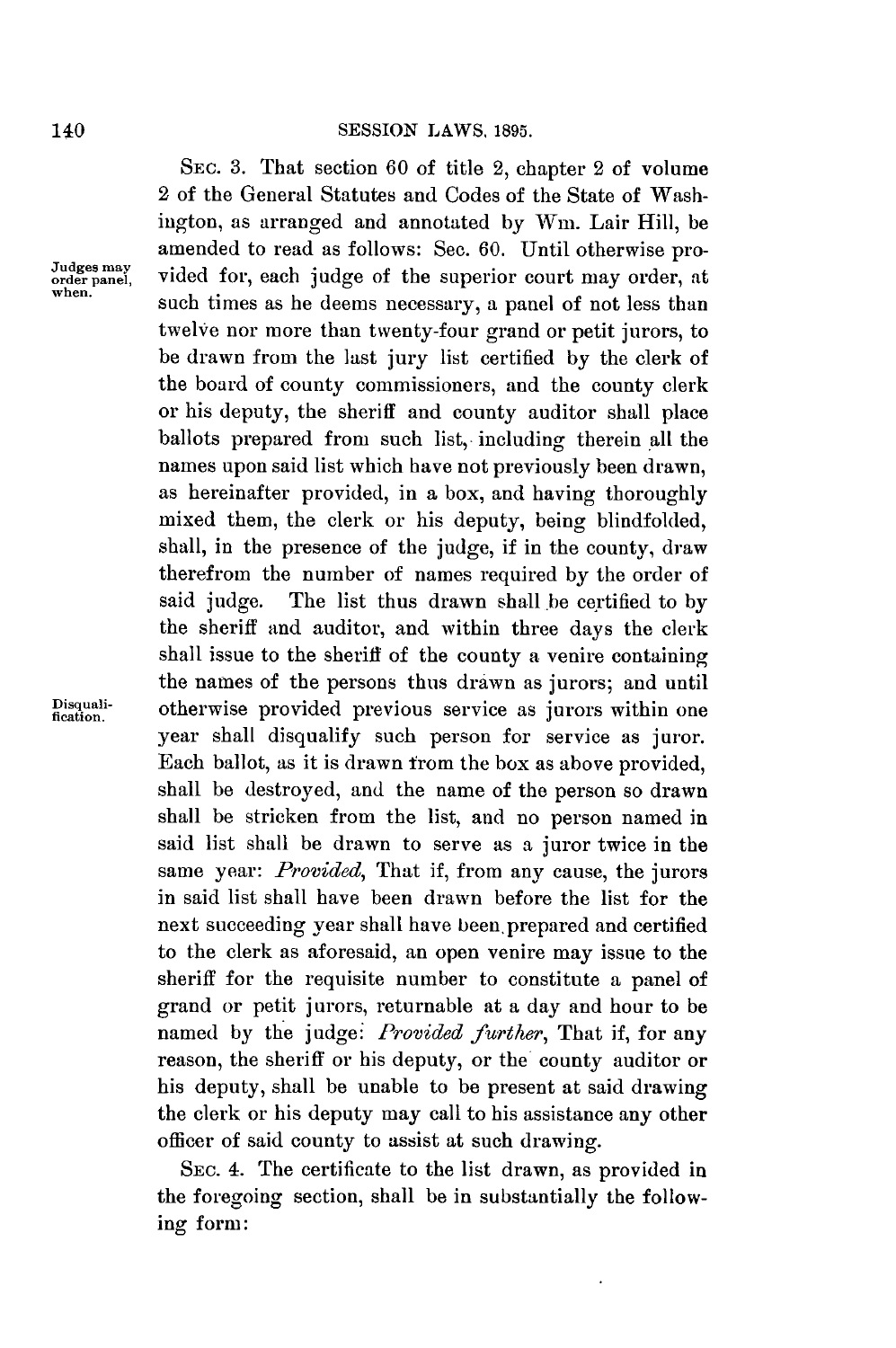SEc. **3.** That section **60** of title 2, chapter 2 of volume 2 of the General Statutes and Codes of the State of Washington, as arranged and annotated **by** Wm. Lair Hill, be amended to read as follows: Sec. 60. Until otherwise pro-<br> *Judges* may<br>
when, <br> *when*, at<br> *when*, at such times as he deems necessary, a panel of not less than twelve nor more than twenty-four grand or petit jurors, to be drawn from the last jury list certified **by** the clerk of the board of county commissioners, and the county clerk or his deputy, the sheriff and county auditor shall place ballots prepared from such list,- including therein all the names upon said list which have not previously been drawn, as hereinafter provided, in a box, and having thoroughly mixed them, the clerk or his deputy, being blindfolded, shall, in the presence of the judge, if in the county, draw therefrom the number of names required **by** the order of said **judge.** The list thus drawn shall.be certified to **by** the sheriff and auditor, and within three days the clerk shall issue to the sheriff of the county a venire containing the names of the persons thus drawn as jurors; and until **Disquali-** otherwise provided previous service as jurors within one **fication.** year shall disqualify such person for service as juror. Each ballot, as it is drawn from the box as above provided, shall be destroyed, and the name of the person so drawn shall be stricken from the list, and no person named in said list shall be drawn to serve as a juror twice in the same year: *Provided,* That if, from any cause, the jurors in said list shall have been drawn before the list for the next succeeding year shall have been prepared and certified to the clerk as aforesaid, an open venire may issue to the sheriff for the requisite number to constitute a panel of grand or petit jurors, returnable at a day and hour to be named **by** the judge: *Provided further,* That if, for any reason, the sheriff or his deputy, or the county auditor or his deputy, shall be unable to be present at said drawing the clerk or his deputy may call to his assistance any other officer of said county to assist at such drawing.

> SEC. 4. The certificate to the list drawn, as provided in the foregoing section, shall be in substantially the following form:

**140**